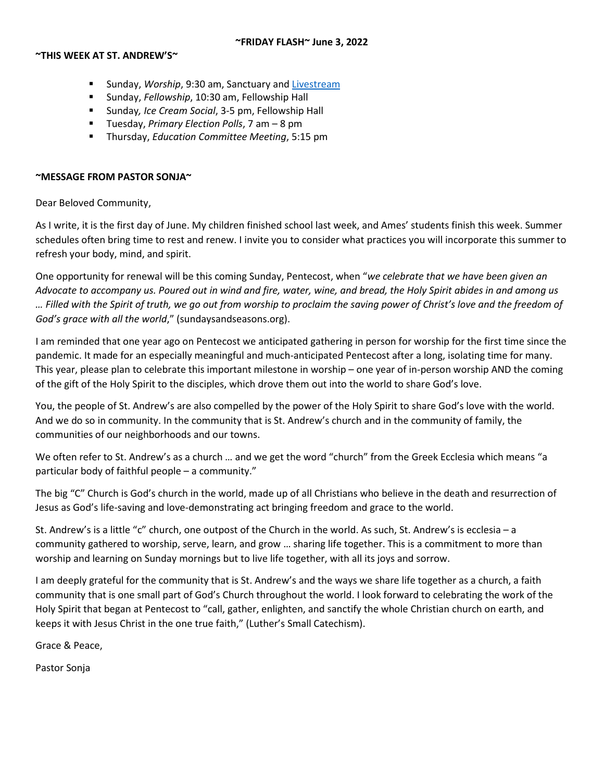#### **~FRIDAY FLASH~ June 3, 2022**

#### **~THIS WEEK AT ST. ANDREW'S~**

- Sunday, *Worship*, 9:30 am, Sanctuary and [Livestream](https://youtu.be/jwN33YfwPXY)
- Sunday, *Fellowship*, 10:30 am, Fellowship Hall
- Sunday*, Ice Cream Social*, 3-5 pm, Fellowship Hall
- Tuesday, *Primary Election Polls*, 7 am 8 pm
- Thursday, *Education Committee Meeting*, 5:15 pm

### **~MESSAGE FROM PASTOR SONJA~**

Dear Beloved Community,

As I write, it is the first day of June. My children finished school last week, and Ames' students finish this week. Summer schedules often bring time to rest and renew. I invite you to consider what practices you will incorporate this summer to refresh your body, mind, and spirit.

One opportunity for renewal will be this coming Sunday, Pentecost, when "*we celebrate that we have been given an Advocate to accompany us. Poured out in wind and fire, water, wine, and bread, the Holy Spirit abides in and among us … Filled with the Spirit of truth, we go out from worship to proclaim the saving power of Christ's love and the freedom of God's grace with all the world*," (sundaysandseasons.org).

I am reminded that one year ago on Pentecost we anticipated gathering in person for worship for the first time since the pandemic. It made for an especially meaningful and much-anticipated Pentecost after a long, isolating time for many. This year, please plan to celebrate this important milestone in worship – one year of in-person worship AND the coming of the gift of the Holy Spirit to the disciples, which drove them out into the world to share God's love.

You, the people of St. Andrew's are also compelled by the power of the Holy Spirit to share God's love with the world. And we do so in community. In the community that is St. Andrew's church and in the community of family, the communities of our neighborhoods and our towns.

We often refer to St. Andrew's as a church … and we get the word "church" from the Greek Ecclesia which means "a particular body of faithful people – a community."

The big "C" Church is God's church in the world, made up of all Christians who believe in the death and resurrection of Jesus as God's life-saving and love-demonstrating act bringing freedom and grace to the world.

St. Andrew's is a little "c" church, one outpost of the Church in the world. As such, St. Andrew's is ecclesia – a community gathered to worship, serve, learn, and grow … sharing life together. This is a commitment to more than worship and learning on Sunday mornings but to live life together, with all its joys and sorrow.

I am deeply grateful for the community that is St. Andrew's and the ways we share life together as a church, a faith community that is one small part of God's Church throughout the world. I look forward to celebrating the work of the Holy Spirit that began at Pentecost to "call, gather, enlighten, and sanctify the whole Christian church on earth, and keeps it with Jesus Christ in the one true faith," (Luther's Small Catechism).

Grace & Peace,

Pastor Sonja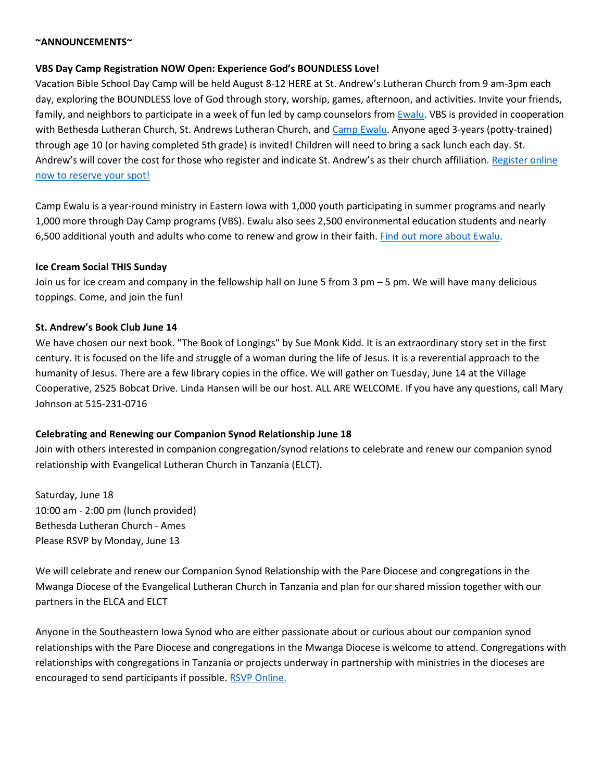#### **~ANNOUNCEMENTS~**

### **VBS Day Camp Registration NOW Open: Experience God's BOUNDLESS Love!**

Vacation Bible School Day Camp will be held August 8-12 HERE at St. Andrew's Lutheran Church from 9 am-3pm each day, exploring the BOUNDLESS love of God through story, worship, games, afternoon, and activities. Invite your friends, family, and neighbors to participate in a week of fun led by camp counselors from [Ewalu.](https://ewalu.org/) VBS is provided in cooperation with Bethesda Lutheran Church, St. Andrews Lutheran Church, and [Camp Ewalu.](https://ewalu.org/) Anyone aged 3-years (potty-trained) through age 10 (or having completed 5th grade) is invited! Children will need to bring a sack lunch each day. St. Andrew's will cover the cost for those who register and indicate St. Andrew's as their church affiliation[. Register online](https://bethesdanet.shelbynextchms.com/external/form/82d0890e-b883-4316-92e0-a804087573c1)  [now to reserve your spot!](https://bethesdanet.shelbynextchms.com/external/form/82d0890e-b883-4316-92e0-a804087573c1)

Camp Ewalu is a year-round ministry in Eastern Iowa with 1,000 youth participating in summer programs and nearly 1,000 more through Day Camp programs (VBS). Ewalu also sees 2,500 environmental education students and nearly 6,500 additional youth and adults who come to renew and grow in their faith. [Find out more about Ewalu.](https://ewalu.org/)

### **Ice Cream Social THIS Sunday**

Join us for ice cream and company in the fellowship hall on June 5 from 3 pm – 5 pm. We will have many delicious toppings. Come, and join the fun!

#### **St. Andrew's Book Club June 14**

We have chosen our next book. "The Book of Longings" by Sue Monk Kidd. It is an extraordinary story set in the first century. It is focused on the life and struggle of a woman during the life of Jesus. It is a reverential approach to the humanity of Jesus. There are a few library copies in the office. We will gather on Tuesday, June 14 at the Village Cooperative, 2525 Bobcat Drive. Linda Hansen will be our host. ALL ARE WELCOME. If you have any questions, call Mary Johnson at 515-231-0716

### **Celebrating and Renewing our Companion Synod Relationship June 18**

Join with others interested in companion congregation/synod relations to celebrate and renew our companion synod relationship with Evangelical Lutheran Church in Tanzania (ELCT).

Saturday, June 18 10:00 am - 2:00 pm (lunch provided) Bethesda Lutheran Church - Ames Please RSVP by Monday, June 13

We will celebrate and renew our Companion Synod Relationship with the Pare Diocese and congregations in the Mwanga Diocese of the Evangelical Lutheran Church in Tanzania and plan for our shared mission together with our partners in the ELCA and ELCT

Anyone in the Southeastern Iowa Synod who are either passionate about or curious about our companion synod relationships with the Pare Diocese and congregations in the Mwanga Diocese is welcome to attend. Congregations with relationships with congregations in Tanzania or projects underway in partnership with ministries in the dioceses are encouraged to send participants if possible. [RSVP Online.](https://seiasynod.elvanto.net/form/f3c1d0c3-166c-4284-8502-71f0d62627ad)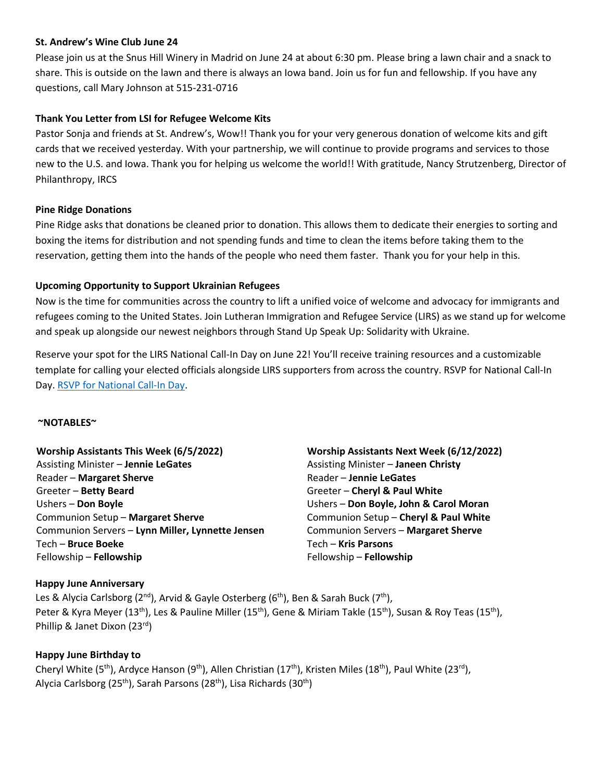### **St. Andrew's Wine Club June 24**

Please join us at the Snus Hill Winery in Madrid on June 24 at about 6:30 pm. Please bring a lawn chair and a snack to share. This is outside on the lawn and there is always an Iowa band. Join us for fun and fellowship. If you have any questions, call Mary Johnson at 515-231-0716

## **Thank You Letter from LSI for Refugee Welcome Kits**

Pastor Sonja and friends at St. Andrew's, Wow!! Thank you for your very generous donation of welcome kits and gift cards that we received yesterday. With your partnership, we will continue to provide programs and services to those new to the U.S. and Iowa. Thank you for helping us welcome the world!! With gratitude, Nancy Strutzenberg, Director of Philanthropy, IRCS

## **Pine Ridge Donations**

Pine Ridge asks that donations be cleaned prior to donation. This allows them to dedicate their energies to sorting and boxing the items for distribution and not spending funds and time to clean the items before taking them to the reservation, getting them into the hands of the people who need them faster. Thank you for your help in this.

## **Upcoming Opportunity to Support Ukrainian Refugees**

Now is the time for communities across the country to lift a unified voice of welcome and advocacy for immigrants and refugees coming to the United States. Join Lutheran Immigration and Refugee Service (LIRS) as we stand up for welcome and speak up alongside our newest neighbors through Stand Up Speak Up: Solidarity with Ukraine. 

Reserve your spot for the LIRS National Call-In Day on June 22! You'll receive training resources and a customizable template for calling your elected officials alongside LIRS supporters from across the country. RSVP for National Call-In Day. [RSVP for National Call-In Day.](https://lirs.us14.list-manage.com/track/click?u=1ba26e3c84448d9ea4814c790&id=4b84418df8&e=5f039eefc1)

### **~NOTABLES~**

| Worship Assistants This Week (6/5/2022)          |
|--------------------------------------------------|
| <b>Assisting Minister - Jennie LeGates</b>       |
| Reader - Margaret Sherve                         |
| Greeter - Betty Beard                            |
| Ushers - Don Boyle                               |
| Communion Setup - Margaret Sherve                |
| Communion Servers - Lynn Miller, Lynnette Jensen |
| Tech - Bruce Boeke                               |
| Fellowship - Fellowship                          |

**Worship Assistants Next Week (6/12/2022)** Assisting Minister – **Janeen Christy** Reader – **Jennie LeGates** Greeter – **Cheryl & Paul White** Ushers – **Don Boyle, John & Carol Moran** Communion Setup – **Cheryl & Paul White** Communion Servers – **Margaret Sherve** Tech – **Kris Parsons** Fellowship – **Fellowship**

# **Happy June Anniversary**

Les & Alycia Carlsborg (2<sup>nd</sup>), Arvid & Gayle Osterberg (6<sup>th</sup>), Ben & Sarah Buck (7<sup>th</sup>), Peter & Kyra Meyer (13<sup>th</sup>), Les & Pauline Miller (15<sup>th</sup>), Gene & Miriam Takle (15<sup>th</sup>), Susan & Roy Teas (15<sup>th</sup>), Phillip & Janet Dixon (23rd)

# **Happy June Birthday to**

Cheryl White (5<sup>th</sup>), Ardyce Hanson (9<sup>th</sup>), Allen Christian (17<sup>th</sup>), Kristen Miles (18<sup>th</sup>), Paul White (23<sup>rd</sup>), Alycia Carlsborg (25<sup>th</sup>), Sarah Parsons (28<sup>th</sup>), Lisa Richards (30<sup>th</sup>)